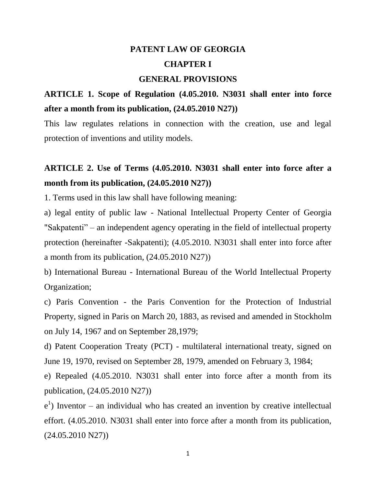## **PATENT LAW OF GEORGIA CHAPTER I**

#### **GENERAL PROVISIONS**

#### **ARTICLE 1. Scope of Regulation (4.05.2010. N3031 shall enter into force after a month from its publication, (24.05.2010 N27))**

This law regulates relations in connection with the creation, use and legal protection of inventions and utility models.

#### **ARTICLE 2. Use of Terms (4.05.2010. N3031 shall enter into force after a month from its publication, (24.05.2010 N27))**

1. Terms used in this law shall have following meaning:

a) legal entity of public law - National Intellectual Property Center of Georgia "Sakpatenti" – an independent agency operating in the field of intellectual property protection (hereinafter -Sakpatenti); (4.05.2010. N3031 shall enter into force after a month from its publication, (24.05.2010 N27))

b) International Bureau - International Bureau of the World Intellectual Property Organization;

c) Paris Convention - the Paris Convention for the Protection of Industrial Property, signed in Paris on March 20, 1883, as revised and amended in Stockholm on July 14, 1967 and on September 28,1979;

d) Patent Cooperation Treaty (PCT) - multilateral international treaty, signed on June 19, 1970, revised on September 28, 1979, amended on February 3, 1984;

e) Repealed (4.05.2010. N3031 shall enter into force after a month from its publication, (24.05.2010 N27))

e 1 ) Inventor – an individual who has created an invention by creative intellectual effort. (4.05.2010. N3031 shall enter into force after a month from its publication, (24.05.2010 N27))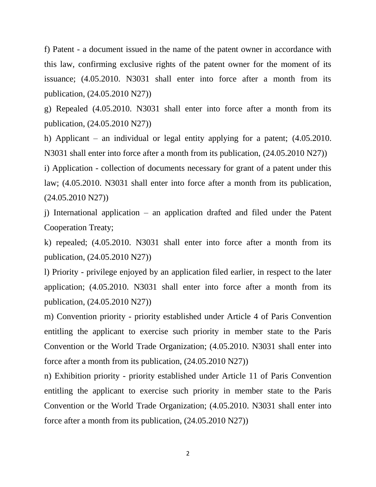f) Patent - a document issued in the name of the patent owner in accordance with this law, confirming exclusive rights of the patent owner for the moment of its issuance; (4.05.2010. N3031 shall enter into force after a month from its publication, (24.05.2010 N27))

g) Repealed (4.05.2010. N3031 shall enter into force after a month from its publication, (24.05.2010 N27))

h) Applicant – an individual or legal entity applying for a patent; (4.05.2010. N3031 shall enter into force after a month from its publication, (24.05.2010 N27))

i) Application - collection of documents necessary for grant of a patent under this law; (4.05.2010. N3031 shall enter into force after a month from its publication, (24.05.2010 N27))

j) International application – an application drafted and filed under the Patent Cooperation Treaty;

k) repealed; (4.05.2010. N3031 shall enter into force after a month from its publication, (24.05.2010 N27))

l) Priority - privilege enjoyed by an application filed earlier, in respect to the later application; (4.05.2010. N3031 shall enter into force after a month from its publication, (24.05.2010 N27))

m) Convention priority - priority established under Article 4 of Paris Convention entitling the applicant to exercise such priority in member state to the Paris Convention or the World Trade Organization; (4.05.2010. N3031 shall enter into force after a month from its publication, (24.05.2010 N27))

n) Exhibition priority - priority established under Article 11 of Paris Convention entitling the applicant to exercise such priority in member state to the Paris Convention or the World Trade Organization; (4.05.2010. N3031 shall enter into force after a month from its publication, (24.05.2010 N27))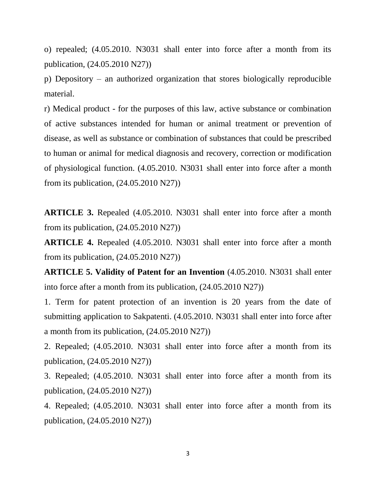o) repealed; (4.05.2010. N3031 shall enter into force after a month from its publication, (24.05.2010 N27))

p) Depository – an authorized organization that stores biologically reproducible material.

r) Medical product - for the purposes of this law, active substance or combination of active substances intended for human or animal treatment or prevention of disease, as well as substance or combination of substances that could be prescribed to human or animal for medical diagnosis and recovery, correction or modification of physiological function. (4.05.2010. N3031 shall enter into force after a month from its publication, (24.05.2010 N27))

**ARTICLE 3.** Repealed (4.05.2010. N3031 shall enter into force after a month from its publication, (24.05.2010 N27))

**ARTICLE 4.** Repealed (4.05.2010. N3031 shall enter into force after a month from its publication, (24.05.2010 N27))

**ARTICLE 5. Validity of Patent for an Invention** (4.05.2010. N3031 shall enter into force after a month from its publication, (24.05.2010 N27))

1. Term for patent protection of an invention is 20 years from the date of submitting application to Sakpatenti. (4.05.2010. N3031 shall enter into force after a month from its publication, (24.05.2010 N27))

2. Repealed; (4.05.2010. N3031 shall enter into force after a month from its publication, (24.05.2010 N27))

3. Repealed; (4.05.2010. N3031 shall enter into force after a month from its publication, (24.05.2010 N27))

4. Repealed; (4.05.2010. N3031 shall enter into force after a month from its publication, (24.05.2010 N27))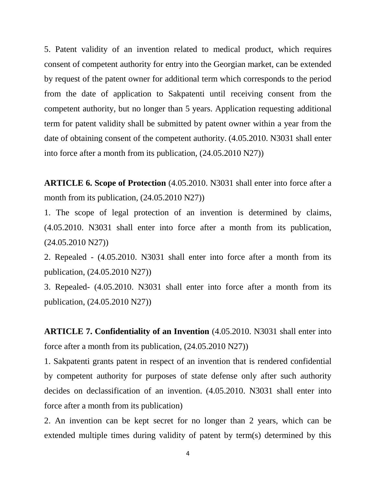5. Patent validity of an invention related to medical product, which requires consent of competent authority for entry into the Georgian market, can be extended by request of the patent owner for additional term which corresponds to the period from the date of application to Sakpatenti until receiving consent from the competent authority, but no longer than 5 years. Application requesting additional term for patent validity shall be submitted by patent owner within a year from the date of obtaining consent of the competent authority. (4.05.2010. N3031 shall enter into force after a month from its publication, (24.05.2010 N27))

**ARTICLE 6. Scope of Protection** (4.05.2010. N3031 shall enter into force after a month from its publication, (24.05.2010 N27))

1. The scope of legal protection of an invention is determined by claims, (4.05.2010. N3031 shall enter into force after a month from its publication, (24.05.2010 N27))

2. Repealed - (4.05.2010. N3031 shall enter into force after a month from its publication, (24.05.2010 N27))

3. Repealed- (4.05.2010. N3031 shall enter into force after a month from its publication, (24.05.2010 N27))

**ARTICLE 7. Confidentiality of an Invention** (4.05.2010. N3031 shall enter into force after a month from its publication, (24.05.2010 N27))

1. Sakpatenti grants patent in respect of an invention that is rendered confidential by competent authority for purposes of state defense only after such authority decides on declassification of an invention. (4.05.2010. N3031 shall enter into force after a month from its publication)

2. An invention can be kept secret for no longer than 2 years, which can be extended multiple times during validity of patent by term(s) determined by this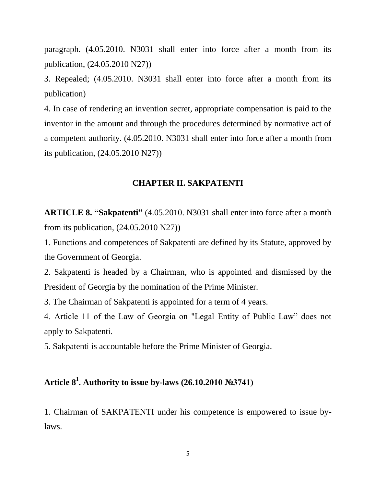paragraph. (4.05.2010. N3031 shall enter into force after a month from its publication, (24.05.2010 N27))

3. Repealed; (4.05.2010. N3031 shall enter into force after a month from its publication)

4. In case of rendering an invention secret, appropriate compensation is paid to the inventor in the amount and through the procedures determined by normative act of a competent authority. (4.05.2010. N3031 shall enter into force after a month from its publication, (24.05.2010 N27))

#### **CHAPTER II. SAKPATENTI**

**ARTICLE 8. "Sakpatenti"** (4.05.2010. N3031 shall enter into force after a month from its publication, (24.05.2010 N27))

1. Functions and competences of Sakpatenti are defined by its Statute, approved by the Government of Georgia.

2. Sakpatenti is headed by a Chairman, who is appointed and dismissed by the President of Georgia by the nomination of the Prime Minister.

3. The Chairman of Sakpatenti is appointed for a term of 4 years.

4. Article 11 of the Law of Georgia on "Legal Entity of Public Law" does not apply to Sakpatenti.

5. Sakpatenti is accountable before the Prime Minister of Georgia.

#### **Article 8<sup>1</sup> . Authority to issue by-laws (26.10.2010 №3741)**

1. Chairman of SAKPATENTI under his competence is empowered to issue bylaws.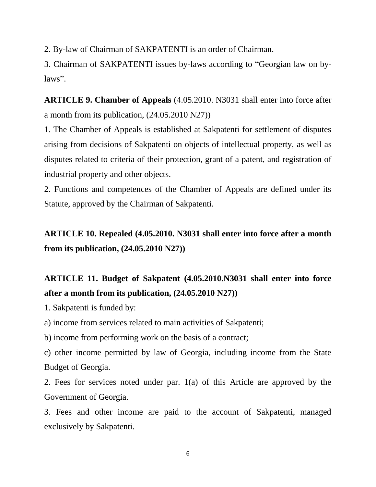2. By-law of Chairman of SAKPATENTI is an order of Chairman.

3. Chairman of SAKPATENTI issues by-laws according to "Georgian law on bylaws".

**ARTICLE 9. Chamber of Appeals** (4.05.2010. N3031 shall enter into force after a month from its publication, (24.05.2010 N27))

1. The Chamber of Appeals is established at Sakpatenti for settlement of disputes arising from decisions of Sakpatenti on objects of intellectual property, as well as disputes related to criteria of their protection, grant of a patent, and registration of industrial property and other objects.

2. Functions and competences of the Chamber of Appeals are defined under its Statute, approved by the Chairman of Sakpatenti.

### **ARTICLE 10. Repealed (4.05.2010. N3031 shall enter into force after a month from its publication, (24.05.2010 N27))**

### **ARTICLE 11. Budget of Sakpatent (4.05.2010.N3031 shall enter into force after a month from its publication, (24.05.2010 N27))**

1. Sakpatenti is funded by:

a) income from services related to main activities of Sakpatenti;

b) income from performing work on the basis of a contract;

c) other income permitted by law of Georgia, including income from the State Budget of Georgia.

2. Fees for services noted under par. 1(a) of this Article are approved by the Government of Georgia.

3. Fees and other income are paid to the account of Sakpatenti, managed exclusively by Sakpatenti.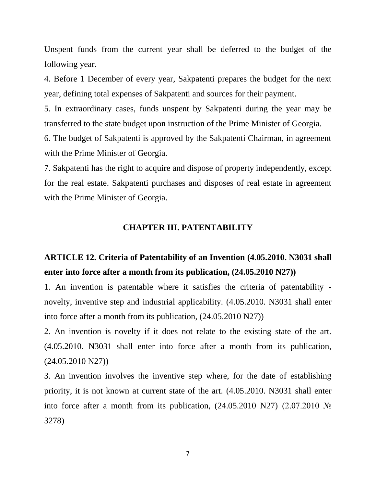Unspent funds from the current year shall be deferred to the budget of the following year.

4. Before 1 December of every year, Sakpatenti prepares the budget for the next year, defining total expenses of Sakpatenti and sources for their payment.

5. In extraordinary cases, funds unspent by Sakpatenti during the year may be transferred to the state budget upon instruction of the Prime Minister of Georgia.

6. The budget of Sakpatenti is approved by the Sakpatenti Chairman, in agreement with the Prime Minister of Georgia.

7. Sakpatenti has the right to acquire and dispose of property independently, except for the real estate. Sakpatenti purchases and disposes of real estate in agreement with the Prime Minister of Georgia.

#### **CHAPTER III. PATENTABILITY**

#### **ARTICLE 12. Criteria of Patentability of an Invention (4.05.2010. N3031 shall enter into force after a month from its publication, (24.05.2010 N27))**

1. An invention is patentable where it satisfies the criteria of patentability novelty, inventive step and industrial applicability. (4.05.2010. N3031 shall enter into force after a month from its publication, (24.05.2010 N27))

2. An invention is novelty if it does not relate to the existing state of the art. (4.05.2010. N3031 shall enter into force after a month from its publication, (24.05.2010 N27))

3. An invention involves the inventive step where, for the date of establishing priority, it is not known at current state of the art. (4.05.2010. N3031 shall enter into force after a month from its publication,  $(24.05.2010 N27)$   $(2.07.2010 N<sub>2</sub>)$ 3278)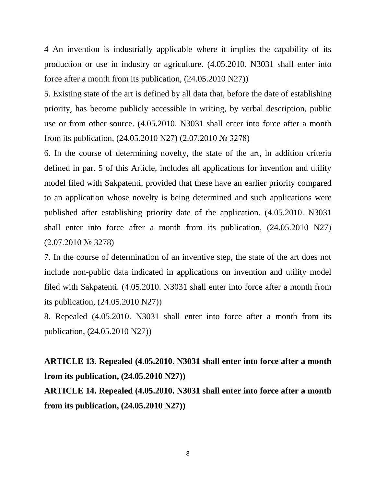4 An invention is industrially applicable where it implies the capability of its production or use in industry or agriculture. (4.05.2010. N3031 shall enter into force after a month from its publication, (24.05.2010 N27))

5. Existing state of the art is defined by all data that, before the date of establishing priority, has become publicly accessible in writing, by verbal description, public use or from other source. (4.05.2010. N3031 shall enter into force after a month from its publication, (24.05.2010 N27) (2.07.2010 № 3278)

6. In the course of determining novelty, the state of the art, in addition criteria defined in par. 5 of this Article, includes all applications for invention and utility model filed with Sakpatenti, provided that these have an earlier priority compared to an application whose novelty is being determined and such applications were published after establishing priority date of the application. (4.05.2010. N3031 shall enter into force after a month from its publication, (24.05.2010 N27) (2.07.2010 № 3278)

7. In the course of determination of an inventive step, the state of the art does not include non-public data indicated in applications on invention and utility model filed with Sakpatenti. (4.05.2010. N3031 shall enter into force after a month from its publication, (24.05.2010 N27))

8. Repealed (4.05.2010. N3031 shall enter into force after a month from its publication, (24.05.2010 N27))

**ARTICLE 13. Repealed (4.05.2010. N3031 shall enter into force after a month from its publication, (24.05.2010 N27))**

**ARTICLE 14. Repealed (4.05.2010. N3031 shall enter into force after a month from its publication, (24.05.2010 N27))**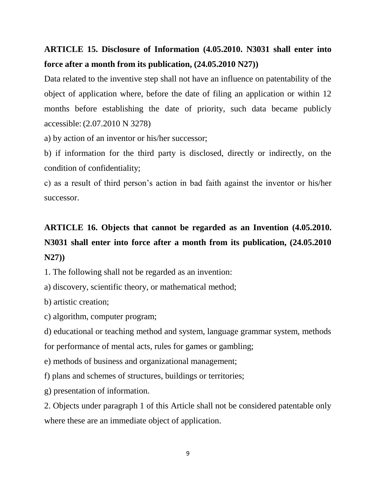### **ARTICLE 15. Disclosure of Information (4.05.2010. N3031 shall enter into force after a month from its publication, (24.05.2010 N27))**

Data related to the inventive step shall not have an influence on patentability of the object of application where, before the date of filing an application or within 12 months before establishing the date of priority, such data became publicly accessible: (2.07.2010 N 3278)

a) by action of an inventor or his/her successor;

b) if information for the third party is disclosed, directly or indirectly, on the condition of confidentiality;

c) as a result of third person's action in bad faith against the inventor or his/her successor.

## **ARTICLE 16. Objects that cannot be regarded as an Invention (4.05.2010. N3031 shall enter into force after a month from its publication, (24.05.2010 N27))**

1. The following shall not be regarded as an invention:

a) discovery, scientific theory, or mathematical method;

b) artistic creation;

c) algorithm, computer program;

d) educational or teaching method and system, language grammar system, methods for performance of mental acts, rules for games or gambling;

e) methods of business and organizational management;

f) plans and schemes of structures, buildings or territories;

g) presentation of information.

2. Objects under paragraph 1 of this Article shall not be considered patentable only where these are an immediate object of application.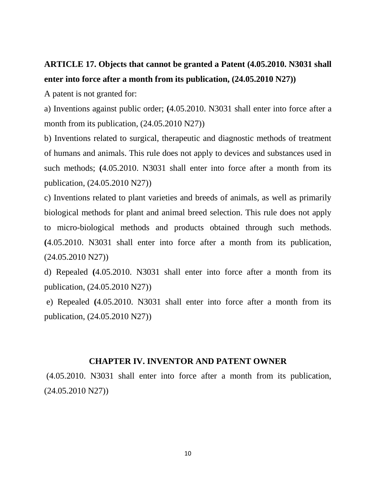### **ARTICLE 17. Objects that cannot be granted a Patent (4.05.2010. N3031 shall enter into force after a month from its publication, (24.05.2010 N27))**

A patent is not granted for:

a) Inventions against public order; **(**4.05.2010. N3031 shall enter into force after a month from its publication,  $(24.05.2010\text{ N}27)$ 

b) Inventions related to surgical, therapeutic and diagnostic methods of treatment of humans and animals. This rule does not apply to devices and substances used in such methods; **(**4.05.2010. N3031 shall enter into force after a month from its publication, (24.05.2010 N27))

c) Inventions related to plant varieties and breeds of animals, as well as primarily biological methods for plant and animal breed selection. This rule does not apply to micro-biological methods and products obtained through such methods. **(**4.05.2010. N3031 shall enter into force after a month from its publication, (24.05.2010 N27))

d) Repealed **(**4.05.2010. N3031 shall enter into force after a month from its publication, (24.05.2010 N27))

e) Repealed **(**4.05.2010. N3031 shall enter into force after a month from its publication, (24.05.2010 N27))

#### **CHAPTER IV. INVENTOR AND PATENT OWNER**

(4.05.2010. N3031 shall enter into force after a month from its publication, (24.05.2010 N27))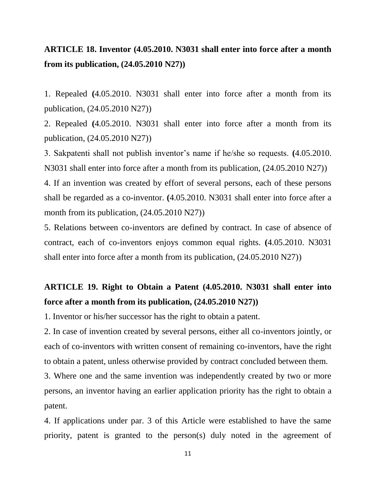#### **ARTICLE 18. Inventor (4.05.2010. N3031 shall enter into force after a month from its publication, (24.05.2010 N27))**

1. Repealed **(**4.05.2010. N3031 shall enter into force after a month from its publication, (24.05.2010 N27))

2. Repealed **(**4.05.2010. N3031 shall enter into force after a month from its publication, (24.05.2010 N27))

3. Sakpatenti shall not publish inventor's name if he/she so requests. **(**4.05.2010. N3031 shall enter into force after a month from its publication, (24.05.2010 N27))

4. If an invention was created by effort of several persons, each of these persons shall be regarded as a co-inventor. **(**4.05.2010. N3031 shall enter into force after a month from its publication, (24.05.2010 N27))

5. Relations between co-inventors are defined by contract. In case of absence of contract, each of co-inventors enjoys common equal rights. **(**4.05.2010. N3031 shall enter into force after a month from its publication, (24.05.2010 N27))

#### **ARTICLE 19. Right to Obtain a Patent (4.05.2010. N3031 shall enter into force after a month from its publication, (24.05.2010 N27))**

1. Inventor or his/her successor has the right to obtain a patent.

2. In case of invention created by several persons, either all co-inventors jointly, or each of co-inventors with written consent of remaining co-inventors, have the right to obtain a patent, unless otherwise provided by contract concluded between them.

3. Where one and the same invention was independently created by two or more persons, an inventor having an earlier application priority has the right to obtain a patent.

4. If applications under par. 3 of this Article were established to have the same priority, patent is granted to the person(s) duly noted in the agreement of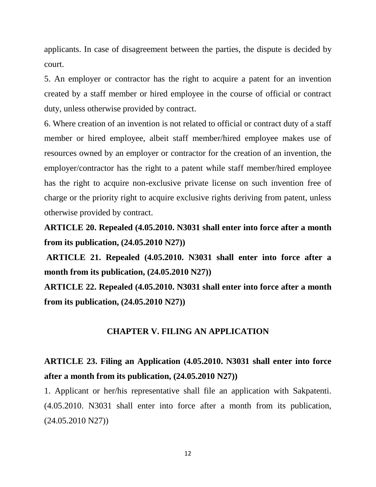applicants. In case of disagreement between the parties, the dispute is decided by court.

5. An employer or contractor has the right to acquire a patent for an invention created by a staff member or hired employee in the course of official or contract duty, unless otherwise provided by contract.

6. Where creation of an invention is not related to official or contract duty of a staff member or hired employee, albeit staff member/hired employee makes use of resources owned by an employer or contractor for the creation of an invention, the employer/contractor has the right to a patent while staff member/hired employee has the right to acquire non-exclusive private license on such invention free of charge or the priority right to acquire exclusive rights deriving from patent, unless otherwise provided by contract.

**ARTICLE 20. Repealed (4.05.2010. N3031 shall enter into force after a month from its publication, (24.05.2010 N27))**

**ARTICLE 21. Repealed (4.05.2010. N3031 shall enter into force after a month from its publication, (24.05.2010 N27))**

**ARTICLE 22. Repealed (4.05.2010. N3031 shall enter into force after a month from its publication, (24.05.2010 N27))**

#### **CHAPTER V. FILING AN APPLICATION**

#### **ARTICLE 23. Filing an Application (4.05.2010. N3031 shall enter into force after a month from its publication, (24.05.2010 N27))**

1. Applicant or her/his representative shall file an application with Sakpatenti. (4.05.2010. N3031 shall enter into force after a month from its publication, (24.05.2010 N27))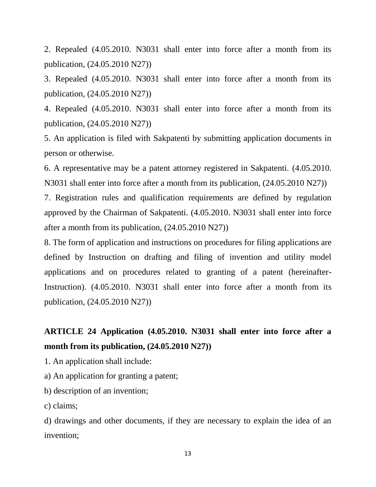2. Repealed (4.05.2010. N3031 shall enter into force after a month from its publication, (24.05.2010 N27))

3. Repealed (4.05.2010. N3031 shall enter into force after a month from its publication, (24.05.2010 N27))

4. Repealed (4.05.2010. N3031 shall enter into force after a month from its publication, (24.05.2010 N27))

5. An application is filed with Sakpatenti by submitting application documents in person or otherwise.

6. A representative may be a patent attorney registered in Sakpatenti. (4.05.2010. N3031 shall enter into force after a month from its publication, (24.05.2010 N27))

7. Registration rules and qualification requirements are defined by regulation approved by the Chairman of Sakpatenti. (4.05.2010. N3031 shall enter into force after a month from its publication, (24.05.2010 N27))

8. The form of application and instructions on procedures for filing applications are defined by Instruction on drafting and filing of invention and utility model applications and on procedures related to granting of a patent (hereinafter-Instruction). (4.05.2010. N3031 shall enter into force after a month from its publication, (24.05.2010 N27))

#### **ARTICLE 24 Application (4.05.2010. N3031 shall enter into force after a month from its publication, (24.05.2010 N27))**

1. An application shall include:

a) An application for granting a patent;

b) description of an invention;

c) claims;

d) drawings and other documents, if they are necessary to explain the idea of an invention;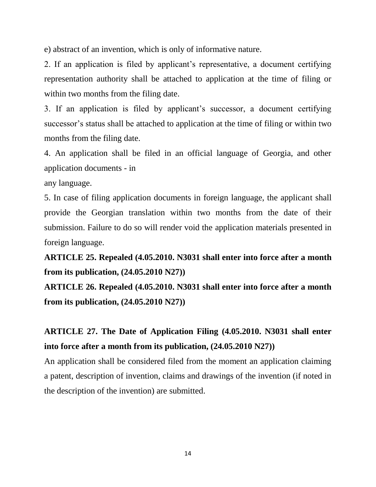e) abstract of an invention, which is only of informative nature.

2. If an application is filed by applicant's representative, a document certifying representation authority shall be attached to application at the time of filing or within two months from the filing date.

3. If an application is filed by applicant's successor, a document certifying successor's status shall be attached to application at the time of filing or within two months from the filing date.

4. An application shall be filed in an official language of Georgia, and other application documents - in

any language.

5. In case of filing application documents in foreign language, the applicant shall provide the Georgian translation within two months from the date of their submission. Failure to do so will render void the application materials presented in foreign language.

**ARTICLE 25. Repealed (4.05.2010. N3031 shall enter into force after a month from its publication, (24.05.2010 N27))**

**ARTICLE 26. Repealed (4.05.2010. N3031 shall enter into force after a month from its publication, (24.05.2010 N27))**

#### **ARTICLE 27. The Date of Application Filing (4.05.2010. N3031 shall enter into force after a month from its publication, (24.05.2010 N27))**

An application shall be considered filed from the moment an application claiming a patent, description of invention, claims and drawings of the invention (if noted in the description of the invention) are submitted.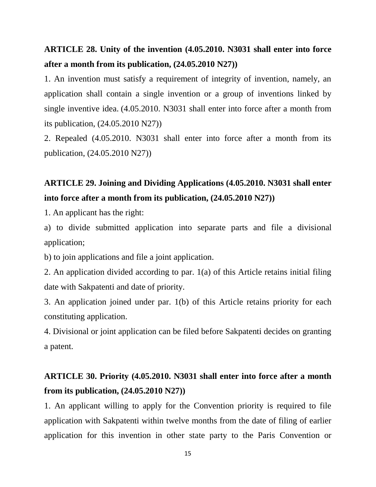#### **ARTICLE 28. Unity of the invention (4.05.2010. N3031 shall enter into force after a month from its publication, (24.05.2010 N27))**

1. An invention must satisfy a requirement of integrity of invention, namely, an application shall contain a single invention or a group of inventions linked by single inventive idea. (4.05.2010. N3031 shall enter into force after a month from its publication, (24.05.2010 N27))

2. Repealed (4.05.2010. N3031 shall enter into force after a month from its publication, (24.05.2010 N27))

### **ARTICLE 29. Joining and Dividing Applications (4.05.2010. N3031 shall enter into force after a month from its publication, (24.05.2010 N27))**

1. An applicant has the right:

a) to divide submitted application into separate parts and file a divisional application;

b) to join applications and file a joint application.

2. An application divided according to par. 1(a) of this Article retains initial filing date with Sakpatenti and date of priority.

3. An application joined under par. 1(b) of this Article retains priority for each constituting application.

4. Divisional or joint application can be filed before Sakpatenti decides on granting a patent.

#### **ARTICLE 30. Priority (4.05.2010. N3031 shall enter into force after a month from its publication, (24.05.2010 N27))**

1. An applicant willing to apply for the Convention priority is required to file application with Sakpatenti within twelve months from the date of filing of earlier application for this invention in other state party to the Paris Convention or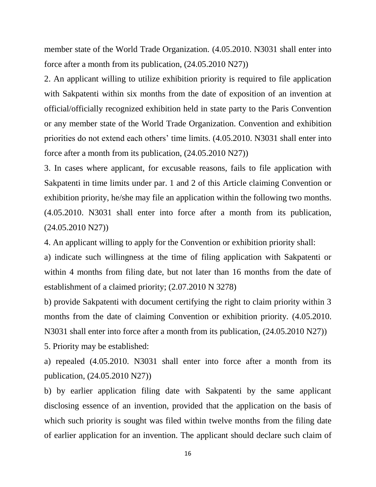member state of the World Trade Organization. (4.05.2010. N3031 shall enter into force after a month from its publication, (24.05.2010 N27))

2. An applicant willing to utilize exhibition priority is required to file application with Sakpatenti within six months from the date of exposition of an invention at official/officially recognized exhibition held in state party to the Paris Convention or any member state of the World Trade Organization. Convention and exhibition priorities do not extend each others' time limits. (4.05.2010. N3031 shall enter into force after a month from its publication, (24.05.2010 N27))

3. In cases where applicant, for excusable reasons, fails to file application with Sakpatenti in time limits under par. 1 and 2 of this Article claiming Convention or exhibition priority, he/she may file an application within the following two months. (4.05.2010. N3031 shall enter into force after a month from its publication, (24.05.2010 N27))

4. An applicant willing to apply for the Convention or exhibition priority shall:

a) indicate such willingness at the time of filing application with Sakpatenti or within 4 months from filing date, but not later than 16 months from the date of establishment of a claimed priority; (2.07.2010 N 3278)

b) provide Sakpatenti with document certifying the right to claim priority within 3 months from the date of claiming Convention or exhibition priority. (4.05.2010. N3031 shall enter into force after a month from its publication, (24.05.2010 N27))

5. Priority may be established:

a) repealed (4.05.2010. N3031 shall enter into force after a month from its publication, (24.05.2010 N27))

b) by earlier application filing date with Sakpatenti by the same applicant disclosing essence of an invention, provided that the application on the basis of which such priority is sought was filed within twelve months from the filing date of earlier application for an invention. The applicant should declare such claim of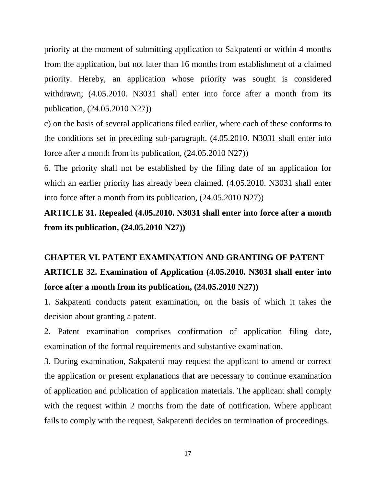priority at the moment of submitting application to Sakpatenti or within 4 months from the application, but not later than 16 months from establishment of a claimed priority. Hereby, an application whose priority was sought is considered withdrawn; (4.05.2010. N3031 shall enter into force after a month from its publication, (24.05.2010 N27))

c) on the basis of several applications filed earlier, where each of these conforms to the conditions set in preceding sub-paragraph. (4.05.2010. N3031 shall enter into force after a month from its publication, (24.05.2010 N27))

6. The priority shall not be established by the filing date of an application for which an earlier priority has already been claimed.  $(4.05.2010, N3031)$  shall enter into force after a month from its publication, (24.05.2010 N27))

**ARTICLE 31. Repealed (4.05.2010. N3031 shall enter into force after a month from its publication, (24.05.2010 N27))**

## **CHAPTER VI. PATENT EXAMINATION AND GRANTING OF PATENT ARTICLE 32. Examination of Application (4.05.2010. N3031 shall enter into force after a month from its publication, (24.05.2010 N27))**

1. Sakpatenti conducts patent examination, on the basis of which it takes the decision about granting a patent.

2. Patent examination comprises confirmation of application filing date, examination of the formal requirements and substantive examination.

3. During examination, Sakpatenti may request the applicant to amend or correct the application or present explanations that are necessary to continue examination of application and publication of application materials. The applicant shall comply with the request within 2 months from the date of notification. Where applicant fails to comply with the request, Sakpatenti decides on termination of proceedings.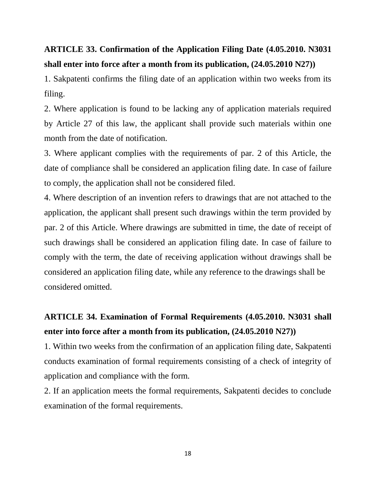#### **ARTICLE 33. Confirmation of the Application Filing Date (4.05.2010. N3031 shall enter into force after a month from its publication, (24.05.2010 N27))**

1. Sakpatenti confirms the filing date of an application within two weeks from its filing.

2. Where application is found to be lacking any of application materials required by Article 27 of this law, the applicant shall provide such materials within one month from the date of notification.

3. Where applicant complies with the requirements of par. 2 of this Article, the date of compliance shall be considered an application filing date. In case of failure to comply, the application shall not be considered filed.

4. Where description of an invention refers to drawings that are not attached to the application, the applicant shall present such drawings within the term provided by par. 2 of this Article. Where drawings are submitted in time, the date of receipt of such drawings shall be considered an application filing date. In case of failure to comply with the term, the date of receiving application without drawings shall be considered an application filing date, while any reference to the drawings shall be considered omitted.

### **ARTICLE 34. Examination of Formal Requirements (4.05.2010. N3031 shall enter into force after a month from its publication, (24.05.2010 N27))**

1. Within two weeks from the confirmation of an application filing date, Sakpatenti conducts examination of formal requirements consisting of a check of integrity of application and compliance with the form.

2. If an application meets the formal requirements, Sakpatenti decides to conclude examination of the formal requirements.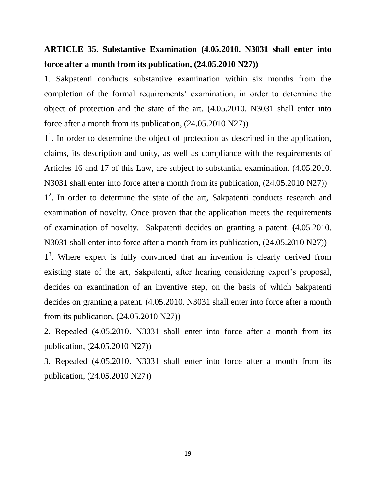#### **ARTICLE 35. Substantive Examination (4.05.2010. N3031 shall enter into force after a month from its publication, (24.05.2010 N27))**

1. Sakpatenti conducts substantive examination within six months from the completion of the formal requirements' examination, in order to determine the object of protection and the state of the art. (4.05.2010. N3031 shall enter into force after a month from its publication, (24.05.2010 N27))

<sup>1</sup>. In order to determine the object of protection as described in the application, claims, its description and unity, as well as compliance with the requirements of Articles 16 and 17 of this Law, are subject to substantial examination. (4.05.2010. N3031 shall enter into force after a month from its publication, (24.05.2010 N27))

1<sup>2</sup>. In order to determine the state of the art, Sakpatenti conducts research and examination of novelty. Once proven that the application meets the requirements of examination of novelty, Sakpatenti decides on granting a patent. **(**4.05.2010. N3031 shall enter into force after a month from its publication, (24.05.2010 N27))

1<sup>3</sup>. Where expert is fully convinced that an invention is clearly derived from existing state of the art, Sakpatenti, after hearing considering expert's proposal, decides on examination of an inventive step, on the basis of which Sakpatenti decides on granting a patent. (4.05.2010. N3031 shall enter into force after a month from its publication, (24.05.2010 N27))

2. Repealed (4.05.2010. N3031 shall enter into force after a month from its publication, (24.05.2010 N27))

3. Repealed (4.05.2010. N3031 shall enter into force after a month from its publication, (24.05.2010 N27))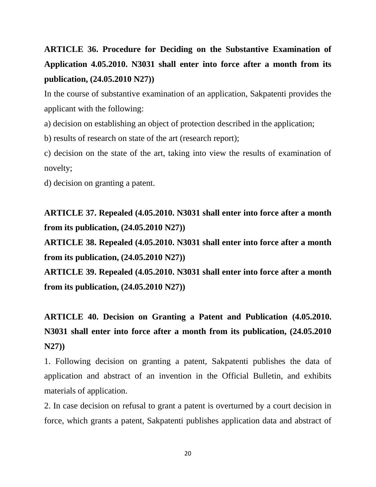## **ARTICLE 36. Procedure for Deciding on the Substantive Examination of Application 4.05.2010. N3031 shall enter into force after a month from its publication, (24.05.2010 N27))**

In the course of substantive examination of an application, Sakpatenti provides the applicant with the following:

a) decision on establishing an object of protection described in the application;

b) results of research on state of the art (research report);

c) decision on the state of the art, taking into view the results of examination of novelty;

d) decision on granting a patent.

**ARTICLE 37. Repealed (4.05.2010. N3031 shall enter into force after a month from its publication, (24.05.2010 N27))**

**ARTICLE 38. Repealed (4.05.2010. N3031 shall enter into force after a month from its publication, (24.05.2010 N27))**

**ARTICLE 39. Repealed (4.05.2010. N3031 shall enter into force after a month from its publication, (24.05.2010 N27))**

**ARTICLE 40. Decision on Granting a Patent and Publication (4.05.2010. N3031 shall enter into force after a month from its publication, (24.05.2010 N27))**

1. Following decision on granting a patent, Sakpatenti publishes the data of application and abstract of an invention in the Official Bulletin, and exhibits materials of application.

2. In case decision on refusal to grant a patent is overturned by a court decision in force, which grants a patent, Sakpatenti publishes application data and abstract of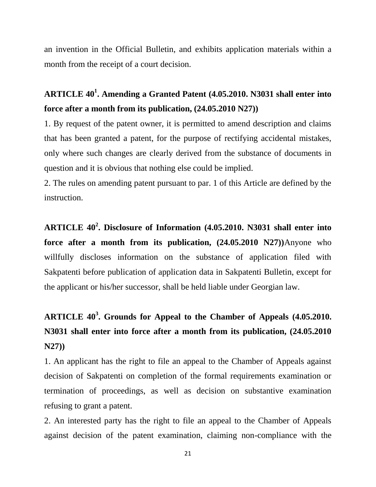an invention in the Official Bulletin, and exhibits application materials within a month from the receipt of a court decision.

### **ARTICLE 40<sup>1</sup> . Amending a Granted Patent (4.05.2010. N3031 shall enter into force after a month from its publication, (24.05.2010 N27))**

1. By request of the patent owner, it is permitted to amend description and claims that has been granted a patent, for the purpose of rectifying accidental mistakes, only where such changes are clearly derived from the substance of documents in question and it is obvious that nothing else could be implied.

2. The rules on amending patent pursuant to par. 1 of this Article are defined by the instruction.

**ARTICLE 40<sup>2</sup> . Disclosure of Information (4.05.2010. N3031 shall enter into force after a month from its publication, (24.05.2010 N27))**Anyone who willfully discloses information on the substance of application filed with Sakpatenti before publication of application data in Sakpatenti Bulletin, except for the applicant or his/her successor, shall be held liable under Georgian law.

## **ARTICLE 40<sup>3</sup> . Grounds for Appeal to the Chamber of Appeals (4.05.2010. N3031 shall enter into force after a month from its publication, (24.05.2010 N27))**

1. An applicant has the right to file an appeal to the Chamber of Appeals against decision of Sakpatenti on completion of the formal requirements examination or termination of proceedings, as well as decision on substantive examination refusing to grant a patent.

2. An interested party has the right to file an appeal to the Chamber of Appeals against decision of the patent examination, claiming non-compliance with the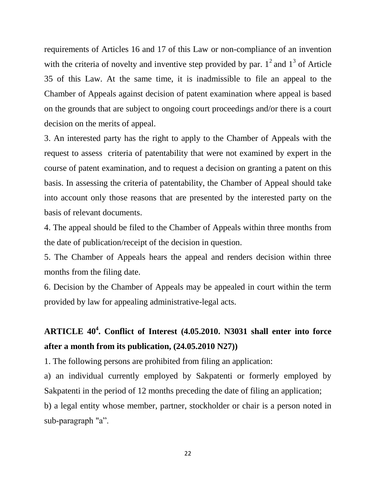requirements of Articles 16 and 17 of this Law or non-compliance of an invention with the criteria of novelty and inventive step provided by par.  $1^2$  and  $1^3$  of Article 35 of this Law. At the same time, it is inadmissible to file an appeal to the Chamber of Appeals against decision of patent examination where appeal is based on the grounds that are subject to ongoing court proceedings and/or there is a court decision on the merits of appeal.

3. An interested party has the right to apply to the Chamber of Appeals with the request to assess criteria of patentability that were not examined by expert in the course of patent examination, and to request a decision on granting a patent on this basis. In assessing the criteria of patentability, the Chamber of Appeal should take into account only those reasons that are presented by the interested party on the basis of relevant documents.

4. The appeal should be filed to the Chamber of Appeals within three months from the date of publication/receipt of the decision in question.

5. The Chamber of Appeals hears the appeal and renders decision within three months from the filing date.

6. Decision by the Chamber of Appeals may be appealed in court within the term provided by law for appealing administrative-legal acts.

### **ARTICLE 40<sup>4</sup> . Conflict of Interest (4.05.2010. N3031 shall enter into force after a month from its publication, (24.05.2010 N27))**

1. The following persons are prohibited from filing an application:

a) an individual currently employed by Sakpatenti or formerly employed by Sakpatenti in the period of 12 months preceding the date of filing an application; b) a legal entity whose member, partner, stockholder or chair is a person noted in sub-paragraph "a".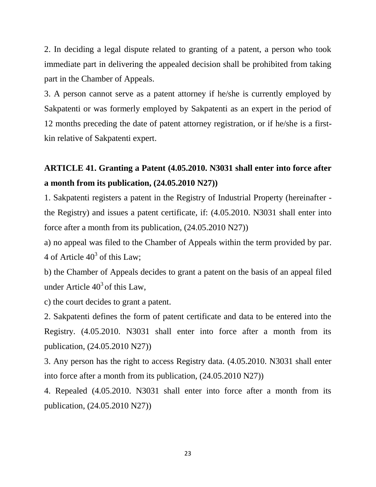2. In deciding a legal dispute related to granting of a patent, a person who took immediate part in delivering the appealed decision shall be prohibited from taking part in the Chamber of Appeals.

3. A person cannot serve as a patent attorney if he/she is currently employed by Sakpatenti or was formerly employed by Sakpatenti as an expert in the period of 12 months preceding the date of patent attorney registration, or if he/she is a firstkin relative of Sakpatenti expert.

### **ARTICLE 41. Granting a Patent (4.05.2010. N3031 shall enter into force after a month from its publication, (24.05.2010 N27))**

1. Sakpatenti registers a patent in the Registry of Industrial Property (hereinafter the Registry) and issues a patent certificate, if: (4.05.2010. N3031 shall enter into force after a month from its publication, (24.05.2010 N27))

a) no appeal was filed to the Chamber of Appeals within the term provided by par. 4 of Article  $40^3$  of this Law;

b) the Chamber of Appeals decides to grant a patent on the basis of an appeal filed under Article  $40^3$  of this Law,

c) the court decides to grant a patent.

2. Sakpatenti defines the form of patent certificate and data to be entered into the Registry. (4.05.2010. N3031 shall enter into force after a month from its publication, (24.05.2010 N27))

3. Any person has the right to access Registry data. (4.05.2010. N3031 shall enter into force after a month from its publication, (24.05.2010 N27))

4. Repealed (4.05.2010. N3031 shall enter into force after a month from its publication, (24.05.2010 N27))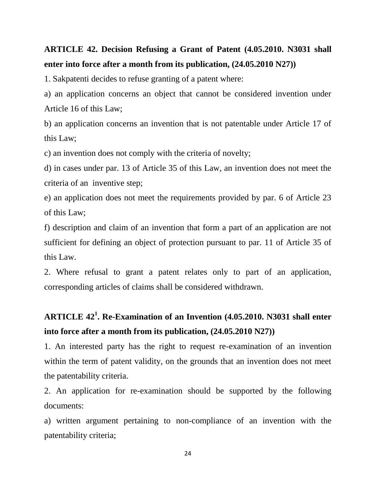#### **ARTICLE 42. Decision Refusing a Grant of Patent (4.05.2010. N3031 shall enter into force after a month from its publication, (24.05.2010 N27))**

1. Sakpatenti decides to refuse granting of a patent where:

a) an application concerns an object that cannot be considered invention under Article 16 of this Law;

b) an application concerns an invention that is not patentable under Article 17 of this Law;

c) an invention does not comply with the criteria of novelty;

d) in cases under par. 13 of Article 35 of this Law, an invention does not meet the criteria of an inventive step;

e) an application does not meet the requirements provided by par. 6 of Article 23 of this Law;

f) description and claim of an invention that form a part of an application are not sufficient for defining an object of protection pursuant to par. 11 of Article 35 of this Law.

2. Where refusal to grant a patent relates only to part of an application, corresponding articles of claims shall be considered withdrawn.

### **ARTICLE 42<sup>1</sup> . Re-Examination of an Invention (4.05.2010. N3031 shall enter into force after a month from its publication, (24.05.2010 N27))**

1. An interested party has the right to request re-examination of an invention within the term of patent validity, on the grounds that an invention does not meet the patentability criteria.

2. An application for re-examination should be supported by the following documents:

a) written argument pertaining to non-compliance of an invention with the patentability criteria;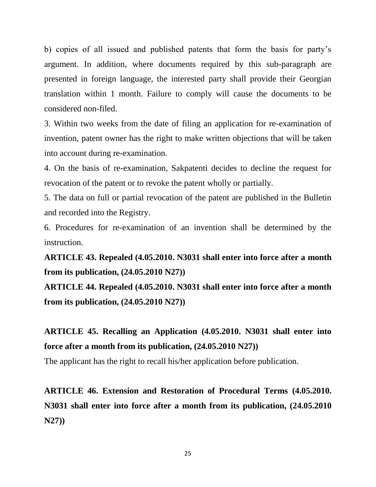b) copies of all issued and published patents that form the basis for party's argument. In addition, where documents required by this sub-paragraph are presented in foreign language, the interested party shall provide their Georgian translation within 1 month. Failure to comply will cause the documents to be considered non-filed.

3. Within two weeks from the date of filing an application for re-examination of invention, patent owner has the right to make written objections that will be taken into account during re-examination.

4. On the basis of re-examination, Sakpatenti decides to decline the request for revocation of the patent or to revoke the patent wholly or partially.

5. The data on full or partial revocation of the patent are published in the Bulletin and recorded into the Registry.

6. Procedures for re-examination of an invention shall be determined by the instruction.

**ARTICLE 43. Repealed (4.05.2010. N3031 shall enter into force after a month from its publication, (24.05.2010 N27))**

**ARTICLE 44. Repealed (4.05.2010. N3031 shall enter into force after a month from its publication, (24.05.2010 N27))**

**ARTICLE 45. Recalling an Application (4.05.2010. N3031 shall enter into force after a month from its publication, (24.05.2010 N27))**

The applicant has the right to recall his/her application before publication.

**ARTICLE 46. Extension and Restoration of Procedural Terms (4.05.2010. N3031 shall enter into force after a month from its publication, (24.05.2010 N27))**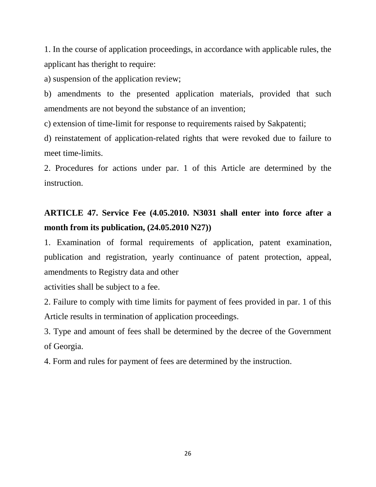1. In the course of application proceedings, in accordance with applicable rules, the applicant has theright to require:

a) suspension of the application review;

b) amendments to the presented application materials, provided that such amendments are not beyond the substance of an invention;

c) extension of time-limit for response to requirements raised by Sakpatenti;

d) reinstatement of application-related rights that were revoked due to failure to meet time-limits.

2. Procedures for actions under par. 1 of this Article are determined by the instruction.

### **ARTICLE 47. Service Fee (4.05.2010. N3031 shall enter into force after a month from its publication, (24.05.2010 N27))**

1. Examination of formal requirements of application, patent examination, publication and registration, yearly continuance of patent protection, appeal, amendments to Registry data and other

activities shall be subject to a fee.

2. Failure to comply with time limits for payment of fees provided in par. 1 of this Article results in termination of application proceedings.

3. Type and amount of fees shall be determined by the decree of the Government of Georgia.

4. Form and rules for payment of fees are determined by the instruction.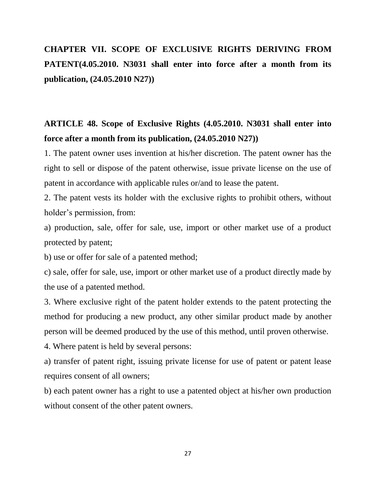## **CHAPTER VII. SCOPE OF EXCLUSIVE RIGHTS DERIVING FROM PATENT(4.05.2010. N3031 shall enter into force after a month from its publication, (24.05.2010 N27))**

#### **ARTICLE 48. Scope of Exclusive Rights (4.05.2010. N3031 shall enter into force after a month from its publication, (24.05.2010 N27))**

1. The patent owner uses invention at his/her discretion. The patent owner has the right to sell or dispose of the patent otherwise, issue private license on the use of patent in accordance with applicable rules or/and to lease the patent.

2. The patent vests its holder with the exclusive rights to prohibit others, without holder's permission, from:

a) production, sale, offer for sale, use, import or other market use of a product protected by patent;

b) use or offer for sale of a patented method;

c) sale, offer for sale, use, import or other market use of a product directly made by the use of a patented method.

3. Where exclusive right of the patent holder extends to the patent protecting the method for producing a new product, any other similar product made by another person will be deemed produced by the use of this method, until proven otherwise.

4. Where patent is held by several persons:

a) transfer of patent right, issuing private license for use of patent or patent lease requires consent of all owners;

b) each patent owner has a right to use a patented object at his/her own production without consent of the other patent owners.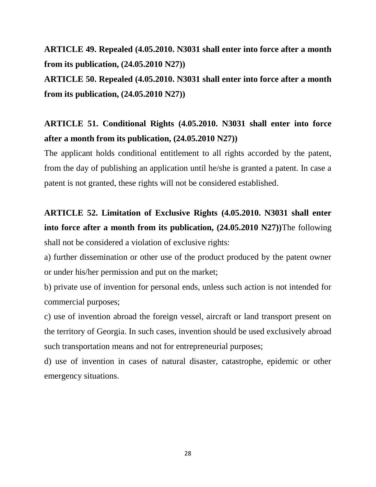#### **ARTICLE 49. Repealed (4.05.2010. N3031 shall enter into force after a month from its publication, (24.05.2010 N27))**

**ARTICLE 50. Repealed (4.05.2010. N3031 shall enter into force after a month from its publication, (24.05.2010 N27))**

### **ARTICLE 51. Conditional Rights (4.05.2010. N3031 shall enter into force after a month from its publication, (24.05.2010 N27))**

The applicant holds conditional entitlement to all rights accorded by the patent, from the day of publishing an application until he/she is granted a patent. In case a patent is not granted, these rights will not be considered established.

**ARTICLE 52. Limitation of Exclusive Rights (4.05.2010. N3031 shall enter into force after a month from its publication, (24.05.2010 N27))**The following shall not be considered a violation of exclusive rights:

a) further dissemination or other use of the product produced by the patent owner or under his/her permission and put on the market;

b) private use of invention for personal ends, unless such action is not intended for commercial purposes;

c) use of invention abroad the foreign vessel, aircraft or land transport present on the territory of Georgia. In such cases, invention should be used exclusively abroad such transportation means and not for entrepreneurial purposes;

d) use of invention in cases of natural disaster, catastrophe, epidemic or other emergency situations.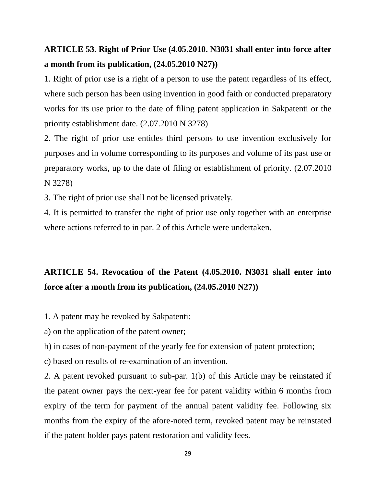#### **ARTICLE 53. Right of Prior Use (4.05.2010. N3031 shall enter into force after a month from its publication, (24.05.2010 N27))**

1. Right of prior use is a right of a person to use the patent regardless of its effect, where such person has been using invention in good faith or conducted preparatory works for its use prior to the date of filing patent application in Sakpatenti or the priority establishment date. (2.07.2010 N 3278)

2. The right of prior use entitles third persons to use invention exclusively for purposes and in volume corresponding to its purposes and volume of its past use or preparatory works, up to the date of filing or establishment of priority. (2.07.2010 N 3278)

3. The right of prior use shall not be licensed privately.

4. It is permitted to transfer the right of prior use only together with an enterprise where actions referred to in par. 2 of this Article were undertaken.

### **ARTICLE 54. Revocation of the Patent (4.05.2010. N3031 shall enter into force after a month from its publication, (24.05.2010 N27))**

1. A patent may be revoked by Sakpatenti:

a) on the application of the patent owner;

b) in cases of non-payment of the yearly fee for extension of patent protection;

c) based on results of re-examination of an invention.

2. A patent revoked pursuant to sub-par. 1(b) of this Article may be reinstated if the patent owner pays the next-year fee for patent validity within 6 months from expiry of the term for payment of the annual patent validity fee. Following six months from the expiry of the afore-noted term, revoked patent may be reinstated if the patent holder pays patent restoration and validity fees.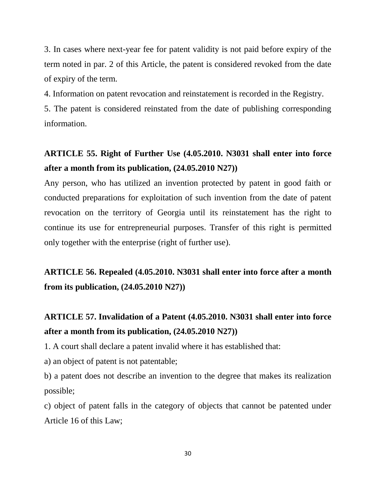3. In cases where next-year fee for patent validity is not paid before expiry of the term noted in par. 2 of this Article, the patent is considered revoked from the date of expiry of the term.

4. Information on patent revocation and reinstatement is recorded in the Registry.

5. The patent is considered reinstated from the date of publishing corresponding information.

### **ARTICLE 55. Right of Further Use (4.05.2010. N3031 shall enter into force after a month from its publication, (24.05.2010 N27))**

Any person, who has utilized an invention protected by patent in good faith or conducted preparations for exploitation of such invention from the date of patent revocation on the territory of Georgia until its reinstatement has the right to continue its use for entrepreneurial purposes. Transfer of this right is permitted only together with the enterprise (right of further use).

**ARTICLE 56. Repealed (4.05.2010. N3031 shall enter into force after a month from its publication, (24.05.2010 N27))**

### **ARTICLE 57. Invalidation of a Patent (4.05.2010. N3031 shall enter into force after a month from its publication, (24.05.2010 N27))**

1. A court shall declare a patent invalid where it has established that:

a) an object of patent is not patentable;

b) a patent does not describe an invention to the degree that makes its realization possible;

c) object of patent falls in the category of objects that cannot be patented under Article 16 of this Law;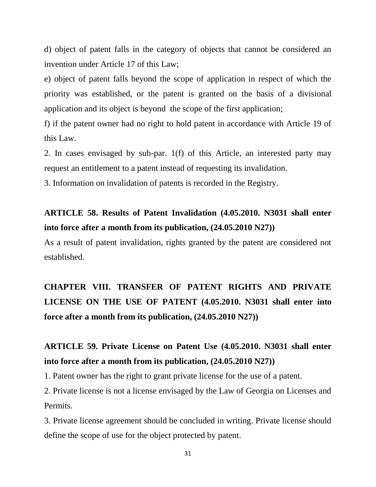d) object of patent falls in the category of objects that cannot be considered an invention under Article 17 of this Law;

e) object of patent falls beyond the scope of application in respect of which the priority was established, or the patent is granted on the basis of a divisional application and its object is beyond the scope of the first application;

f) if the patent owner had no right to hold patent in accordance with Article 19 of this Law.

2. In cases envisaged by sub-par. 1(f) of this Article, an interested party may request an entitlement to a patent instead of requesting its invalidation.

3. Information on invalidation of patents is recorded in the Registry.

#### **ARTICLE 58. Results of Patent Invalidation (4.05.2010. N3031 shall enter into force after a month from its publication, (24.05.2010 N27))**

As a result of patent invalidation, rights granted by the patent are considered not established.

### **CHAPTER VIII. TRANSFER OF PATENT RIGHTS AND PRIVATE LICENSE ON THE USE OF PATENT (4.05.2010. N3031 shall enter into force after a month from its publication, (24.05.2010 N27))**

### **ARTICLE 59. Private License on Patent Use (4.05.2010. N3031 shall enter into force after a month from its publication, (24.05.2010 N27))**

1. Patent owner has the right to grant private license for the use of a patent.

2. Private license is not a license envisaged by the Law of Georgia on Licenses and Permits.

3. Private license agreement should be concluded in writing. Private license should define the scope of use for the object protected by patent.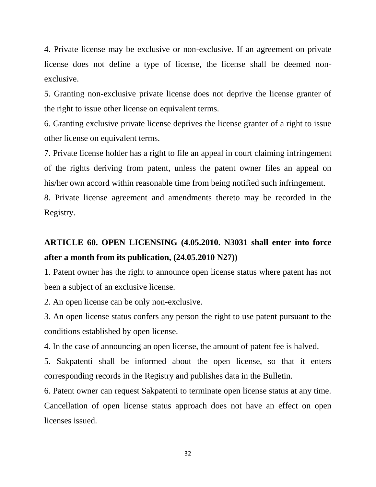4. Private license may be exclusive or non-exclusive. If an agreement on private license does not define a type of license, the license shall be deemed nonexclusive.

5. Granting non-exclusive private license does not deprive the license granter of the right to issue other license on equivalent terms.

6. Granting exclusive private license deprives the license granter of a right to issue other license on equivalent terms.

7. Private license holder has a right to file an appeal in court claiming infringement of the rights deriving from patent, unless the patent owner files an appeal on his/her own accord within reasonable time from being notified such infringement.

8. Private license agreement and amendments thereto may be recorded in the Registry.

### **ARTICLE 60. OPEN LICENSING (4.05.2010. N3031 shall enter into force after a month from its publication, (24.05.2010 N27))**

1. Patent owner has the right to announce open license status where patent has not been a subject of an exclusive license.

2. An open license can be only non-exclusive.

3. An open license status confers any person the right to use patent pursuant to the conditions established by open license.

4. In the case of announcing an open license, the amount of patent fee is halved.

5. Sakpatenti shall be informed about the open license, so that it enters corresponding records in the Registry and publishes data in the Bulletin.

6. Patent owner can request Sakpatenti to terminate open license status at any time. Cancellation of open license status approach does not have an effect on open licenses issued.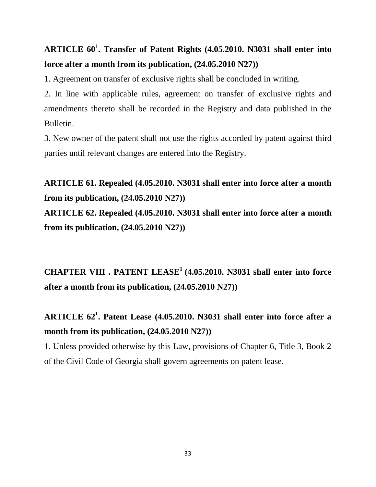### **ARTICLE 60<sup>1</sup> . Transfer of Patent Rights (4.05.2010. N3031 shall enter into force after a month from its publication, (24.05.2010 N27))**

1. Agreement on transfer of exclusive rights shall be concluded in writing.

2. In line with applicable rules, agreement on transfer of exclusive rights and amendments thereto shall be recorded in the Registry and data published in the Bulletin.

3. New owner of the patent shall not use the rights accorded by patent against third parties until relevant changes are entered into the Registry.

**ARTICLE 61. Repealed (4.05.2010. N3031 shall enter into force after a month from its publication, (24.05.2010 N27))**

**ARTICLE 62. Repealed (4.05.2010. N3031 shall enter into force after a month from its publication, (24.05.2010 N27))**

**CHAPTER VIII . PATENT LEASE<sup>1</sup> (4.05.2010. N3031 shall enter into force after a month from its publication, (24.05.2010 N27))**

### **ARTICLE 62<sup>1</sup> . Patent Lease (4.05.2010. N3031 shall enter into force after a month from its publication, (24.05.2010 N27))**

1. Unless provided otherwise by this Law, provisions of Chapter 6, Title 3, Book 2 of the Civil Code of Georgia shall govern agreements on patent lease.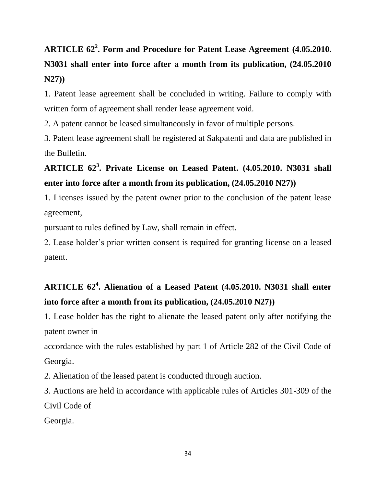# **ARTICLE 62<sup>2</sup> . Form and Procedure for Patent Lease Agreement (4.05.2010. N3031 shall enter into force after a month from its publication, (24.05.2010 N27))**

1. Patent lease agreement shall be concluded in writing. Failure to comply with written form of agreement shall render lease agreement void.

2. A patent cannot be leased simultaneously in favor of multiple persons.

3. Patent lease agreement shall be registered at Sakpatenti and data are published in the Bulletin.

### **ARTICLE 62<sup>3</sup> . Private License on Leased Patent. (4.05.2010. N3031 shall enter into force after a month from its publication, (24.05.2010 N27))**

1. Licenses issued by the patent owner prior to the conclusion of the patent lease agreement,

pursuant to rules defined by Law, shall remain in effect.

2. Lease holder's prior written consent is required for granting license on a leased patent.

### **ARTICLE 62<sup>4</sup> . Alienation of a Leased Patent (4.05.2010. N3031 shall enter into force after a month from its publication, (24.05.2010 N27))**

1. Lease holder has the right to alienate the leased patent only after notifying the patent owner in

accordance with the rules established by part 1 of Article 282 of the Civil Code of Georgia.

2. Alienation of the leased patent is conducted through auction.

3. Auctions are held in accordance with applicable rules of Articles 301-309 of the Civil Code of

Georgia.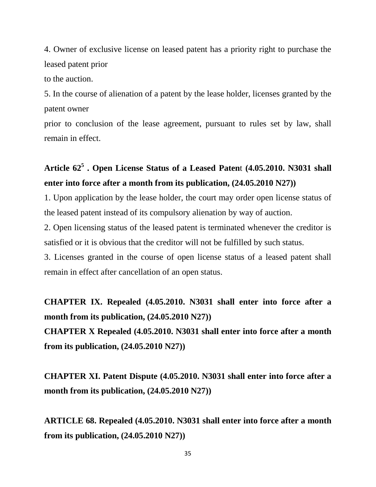4. Owner of exclusive license on leased patent has a priority right to purchase the leased patent prior

to the auction.

5. In the course of alienation of a patent by the lease holder, licenses granted by the patent owner

prior to conclusion of the lease agreement, pursuant to rules set by law, shall remain in effect.

### **Article 62<sup>5</sup> . Open License Status of a Leased Paten**t **(4.05.2010. N3031 shall enter into force after a month from its publication, (24.05.2010 N27))**

1. Upon application by the lease holder, the court may order open license status of the leased patent instead of its compulsory alienation by way of auction.

2. Open licensing status of the leased patent is terminated whenever the creditor is satisfied or it is obvious that the creditor will not be fulfilled by such status.

3. Licenses granted in the course of open license status of a leased patent shall remain in effect after cancellation of an open status.

# **CHAPTER IX. Repealed (4.05.2010. N3031 shall enter into force after a month from its publication, (24.05.2010 N27))**

**CHAPTER X Repealed (4.05.2010. N3031 shall enter into force after a month from its publication, (24.05.2010 N27))**

**CHAPTER XI. Patent Dispute (4.05.2010. N3031 shall enter into force after a month from its publication, (24.05.2010 N27))**

**ARTICLE 68. Repealed (4.05.2010. N3031 shall enter into force after a month from its publication, (24.05.2010 N27))**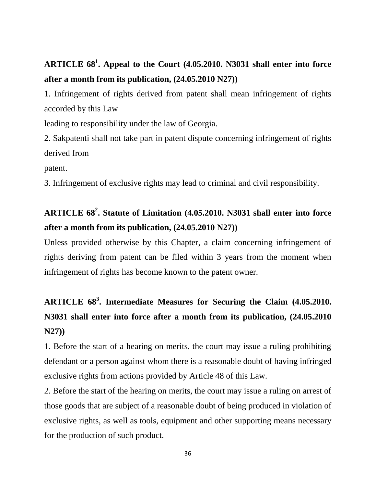## **ARTICLE 68<sup>1</sup> . Appeal to the Court (4.05.2010. N3031 shall enter into force after a month from its publication, (24.05.2010 N27))**

1. Infringement of rights derived from patent shall mean infringement of rights accorded by this Law

leading to responsibility under the law of Georgia.

2. Sakpatenti shall not take part in patent dispute concerning infringement of rights derived from

patent.

3. Infringement of exclusive rights may lead to criminal and civil responsibility.

## **ARTICLE 68<sup>2</sup> . Statute of Limitation (4.05.2010. N3031 shall enter into force after a month from its publication, (24.05.2010 N27))**

Unless provided otherwise by this Chapter, a claim concerning infringement of rights deriving from patent can be filed within 3 years from the moment when infringement of rights has become known to the patent owner.

# **ARTICLE 68<sup>3</sup> . Intermediate Measures for Securing the Claim (4.05.2010. N3031 shall enter into force after a month from its publication, (24.05.2010 N27))**

1. Before the start of a hearing on merits, the court may issue a ruling prohibiting defendant or a person against whom there is a reasonable doubt of having infringed exclusive rights from actions provided by Article 48 of this Law.

2. Before the start of the hearing on merits, the court may issue a ruling on arrest of those goods that are subject of a reasonable doubt of being produced in violation of exclusive rights, as well as tools, equipment and other supporting means necessary for the production of such product.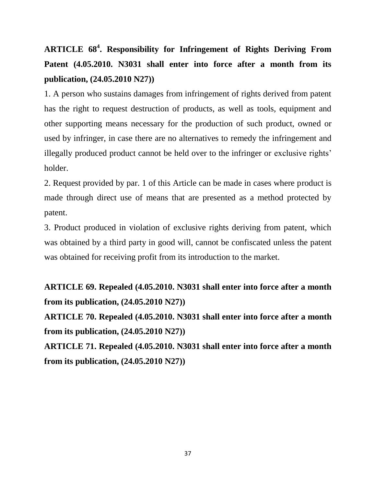**ARTICLE 68<sup>4</sup> . Responsibility for Infringement of Rights Deriving From Patent (4.05.2010. N3031 shall enter into force after a month from its publication, (24.05.2010 N27))**

1. A person who sustains damages from infringement of rights derived from patent has the right to request destruction of products, as well as tools, equipment and other supporting means necessary for the production of such product, owned or used by infringer, in case there are no alternatives to remedy the infringement and illegally produced product cannot be held over to the infringer or exclusive rights' holder.

2. Request provided by par. 1 of this Article can be made in cases where product is made through direct use of means that are presented as a method protected by patent.

3. Product produced in violation of exclusive rights deriving from patent, which was obtained by a third party in good will, cannot be confiscated unless the patent was obtained for receiving profit from its introduction to the market.

**ARTICLE 69. Repealed (4.05.2010. N3031 shall enter into force after a month from its publication, (24.05.2010 N27))**

**ARTICLE 70. Repealed (4.05.2010. N3031 shall enter into force after a month from its publication, (24.05.2010 N27))**

**ARTICLE 71. Repealed (4.05.2010. N3031 shall enter into force after a month from its publication, (24.05.2010 N27))**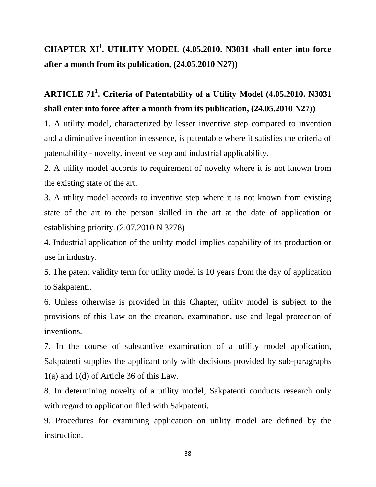### **CHAPTER XI<sup>1</sup> . UTILITY MODEL (4.05.2010. N3031 shall enter into force after a month from its publication, (24.05.2010 N27))**

### **ARTICLE 71<sup>1</sup> . Criteria of Patentability of a Utility Model (4.05.2010. N3031 shall enter into force after a month from its publication, (24.05.2010 N27))**

1. A utility model, characterized by lesser inventive step compared to invention and a diminutive invention in essence, is patentable where it satisfies the criteria of patentability - novelty, inventive step and industrial applicability.

2. A utility model accords to requirement of novelty where it is not known from the existing state of the art.

3. A utility model accords to inventive step where it is not known from existing state of the art to the person skilled in the art at the date of application or establishing priority. (2.07.2010 N 3278)

4. Industrial application of the utility model implies capability of its production or use in industry.

5. The patent validity term for utility model is 10 years from the day of application to Sakpatenti.

6. Unless otherwise is provided in this Chapter, utility model is subject to the provisions of this Law on the creation, examination, use and legal protection of inventions.

7. In the course of substantive examination of a utility model application, Sakpatenti supplies the applicant only with decisions provided by sub-paragraphs 1(a) and 1(d) of Article 36 of this Law.

8. In determining novelty of a utility model, Sakpatenti conducts research only with regard to application filed with Sakpatenti.

9. Procedures for examining application on utility model are defined by the instruction.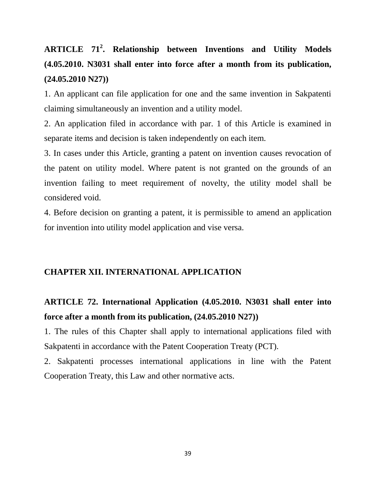## **ARTICLE 71<sup>2</sup> . Relationship between Inventions and Utility Models (4.05.2010. N3031 shall enter into force after a month from its publication, (24.05.2010 N27))**

1. An applicant can file application for one and the same invention in Sakpatenti claiming simultaneously an invention and a utility model.

2. An application filed in accordance with par. 1 of this Article is examined in separate items and decision is taken independently on each item.

3. In cases under this Article, granting a patent on invention causes revocation of the patent on utility model. Where patent is not granted on the grounds of an invention failing to meet requirement of novelty, the utility model shall be considered void.

4. Before decision on granting a patent, it is permissible to amend an application for invention into utility model application and vise versa.

#### **CHAPTER XII. INTERNATIONAL APPLICATION**

#### **ARTICLE 72. International Application (4.05.2010. N3031 shall enter into force after a month from its publication, (24.05.2010 N27))**

1. The rules of this Chapter shall apply to international applications filed with Sakpatenti in accordance with the Patent Cooperation Treaty (PCT).

2. Sakpatenti processes international applications in line with the Patent Cooperation Treaty, this Law and other normative acts.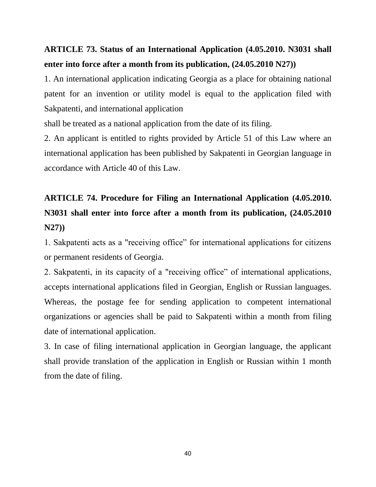#### **ARTICLE 73. Status of an International Application (4.05.2010. N3031 shall enter into force after a month from its publication, (24.05.2010 N27))**

1. An international application indicating Georgia as a place for obtaining national patent for an invention or utility model is equal to the application filed with Sakpatenti, and international application

shall be treated as a national application from the date of its filing.

2. An applicant is entitled to rights provided by Article 51 of this Law where an international application has been published by Sakpatenti in Georgian language in accordance with Article 40 of this Law.

## **ARTICLE 74. Procedure for Filing an International Application (4.05.2010. N3031 shall enter into force after a month from its publication, (24.05.2010 N27))**

1. Sakpatenti acts as a "receiving office" for international applications for citizens or permanent residents of Georgia.

2. Sakpatenti, in its capacity of a "receiving office" of international applications, accepts international applications filed in Georgian, English or Russian languages. Whereas, the postage fee for sending application to competent international organizations or agencies shall be paid to Sakpatenti within a month from filing date of international application.

3. In case of filing international application in Georgian language, the applicant shall provide translation of the application in English or Russian within 1 month from the date of filing.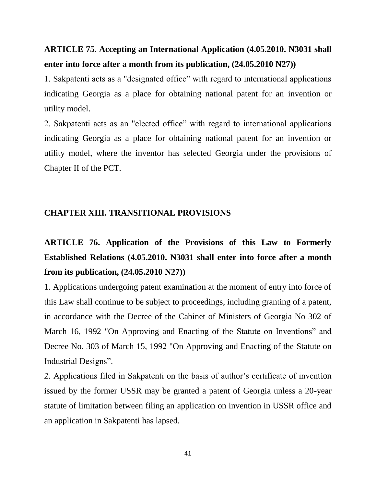#### **ARTICLE 75. Accepting an International Application (4.05.2010. N3031 shall enter into force after a month from its publication, (24.05.2010 N27))**

1. Sakpatenti acts as a "designated office" with regard to international applications indicating Georgia as a place for obtaining national patent for an invention or utility model.

2. Sakpatenti acts as an "elected office" with regard to international applications indicating Georgia as a place for obtaining national patent for an invention or utility model, where the inventor has selected Georgia under the provisions of Chapter II of the PCT.

#### **CHAPTER XIII. TRANSITIONAL PROVISIONS**

## **ARTICLE 76. Application of the Provisions of this Law to Formerly Established Relations (4.05.2010. N3031 shall enter into force after a month from its publication, (24.05.2010 N27))**

1. Applications undergoing patent examination at the moment of entry into force of this Law shall continue to be subject to proceedings, including granting of a patent, in accordance with the Decree of the Cabinet of Ministers of Georgia No 302 of March 16, 1992 "On Approving and Enacting of the Statute on Inventions" and Decree No. 303 of March 15, 1992 "On Approving and Enacting of the Statute on Industrial Designs".

2. Applications filed in Sakpatenti on the basis of author's certificate of invention issued by the former USSR may be granted a patent of Georgia unless a 20-year statute of limitation between filing an application on invention in USSR office and an application in Sakpatenti has lapsed.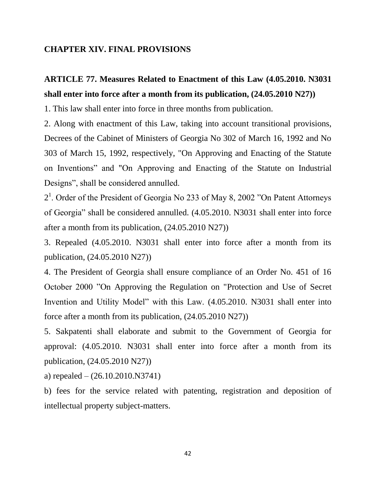#### **CHAPTER XIV. FINAL PROVISIONS**

### **ARTICLE 77. Measures Related to Enactment of this Law (4.05.2010. N3031 shall enter into force after a month from its publication, (24.05.2010 N27))**

1. This law shall enter into force in three months from publication.

2. Along with enactment of this Law, taking into account transitional provisions, Decrees of the Cabinet of Ministers of Georgia No 302 of March 16, 1992 and No 303 of March 15, 1992, respectively, "On Approving and Enacting of the Statute on Inventions" and "On Approving and Enacting of the Statute on Industrial Designs", shall be considered annulled.

2<sup>1</sup>. Order of the President of Georgia No 233 of May 8, 2002 "On Patent Attorneys" of Georgia" shall be considered annulled. (4.05.2010. N3031 shall enter into force after a month from its publication, (24.05.2010 N27))

3. Repealed (4.05.2010. N3031 shall enter into force after a month from its publication, (24.05.2010 N27))

4. The President of Georgia shall ensure compliance of an Order No. 451 of 16 October 2000 "On Approving the Regulation on "Protection and Use of Secret Invention and Utility Model" with this Law. (4.05.2010. N3031 shall enter into force after a month from its publication, (24.05.2010 N27))

5. Sakpatenti shall elaborate and submit to the Government of Georgia for approval: (4.05.2010. N3031 shall enter into force after a month from its publication, (24.05.2010 N27))

a) repealed – (26.10.2010.N3741)

b) fees for the service related with patenting, registration and deposition of intellectual property subject-matters.